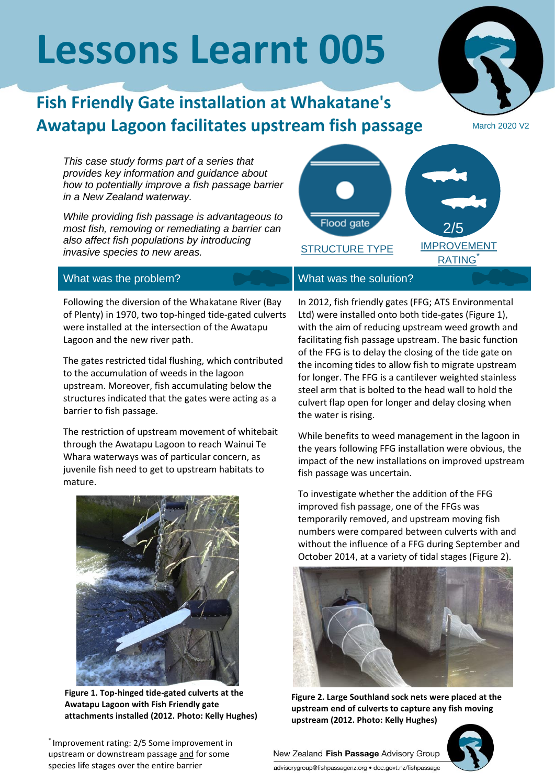# **Lessons Learnt 005**

## **Fish Friendly Gate installation at Whakatane's Awatapu Lagoon facilitates upstream fish passage**

March 2020 V2

*This case study forms part of a series that provides key information and guidance about how to potentially improve a fish passage barrier in a New Zealand waterway.*

*While providing fish passage is advantageous to most fish, removing or remediating a barrier can also affect fish populations by introducing invasive species to new areas.*



Following the diversion of the Whakatane River (Bay of Plenty) in 1970, two top-hinged tide-gated culverts were installed at the intersection of the Awatapu Lagoon and the new river path.

The gates restricted tidal flushing, which contributed to the accumulation of weeds in the lagoon upstream. Moreover, fish accumulating below the structures indicated that the gates were acting as a barrier to fish passage.

The restriction of upstream movement of whitebait through the Awatapu Lagoon to reach Wainui Te Whara waterways was of particular concern, as juvenile fish need to get to upstream habitats to mature.



**Figure 1. Top-hinged tide-gated culverts at the Awatapu Lagoon with Fish Friendly gate attachments installed (2012. Photo: Kelly Hughes)**

\* Improvement rating: 2/5 Some improvement in upstream or downstream passage and for some species life stages over the entire barrier

In 2012, fish friendly gates (FFG; ATS Environmental Ltd) were installed onto both tide-gates (Figure 1), with the aim of reducing upstream weed growth and facilitating fish passage upstream. The basic function of the FFG is to delay the closing of the tide gate on the incoming tides to allow fish to migrate upstream for longer. The FFG is a cantilever weighted stainless steel arm that is bolted to the head wall to hold the culvert flap open for longer and delay closing when the water is rising.

While benefits to weed management in the lagoon in the years following FFG installation were obvious, the impact of the new installations on improved upstream fish passage was uncertain.

To investigate whether the addition of the FFG improved fish passage, one of the FFGs was temporarily removed, and upstream moving fish numbers were compared between culverts with and without the influence of a FFG during September and October 2014, at a variety of tidal stages (Figure 2).



**Figure 2. Large Southland sock nets were placed at the upstream end of culverts to capture any fish moving upstream (2012. Photo: Kelly Hughes)**



New Zealand Fish Passage Advisory Group advisorygroup@fishpassagenz.org · doc.govt.nz/fishpassage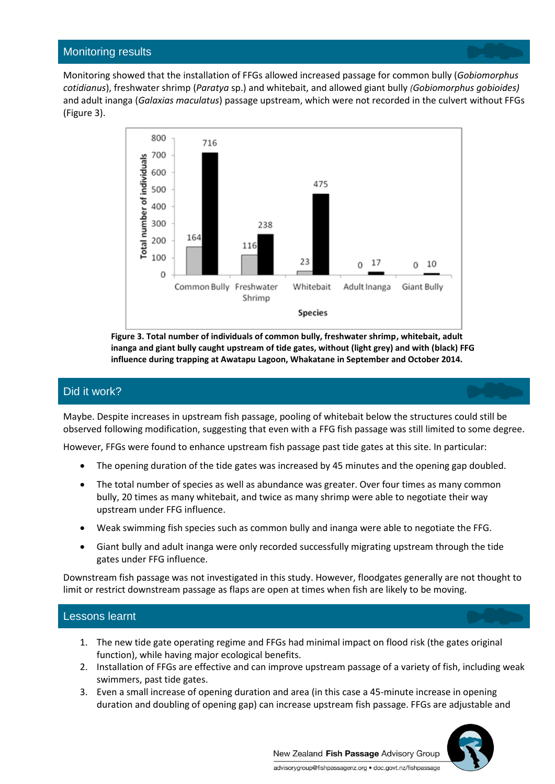Monitoring showed that the installation of FFGs allowed increased passage for common bully (*Gobiomorphus cotidianus*), freshwater shrimp (*Paratya* sp.) and whitebait, and allowed giant bully *(Gobiomorphus gobioides)* and adult inanga (*Galaxias maculatus*) passage upstream, which were not recorded in the culvert without FFGs (Figure 3).



**Figure 3. Total number of individuals of common bully, freshwater shrimp, whitebait, adult inanga and giant bully caught upstream of tide gates, without (light grey) and with (black) FFG influence during trapping at Awatapu Lagoon, Whakatane in September and October 2014.**

#### Did it work?

Maybe. Despite increases in upstream fish passage, pooling of whitebait below the structures could still be observed following modification, suggesting that even with a FFG fish passage was still limited to some degree.

However, FFGs were found to enhance upstream fish passage past tide gates at this site. In particular:

- The opening duration of the tide gates was increased by 45 minutes and the opening gap doubled.
- The total number of species as well as abundance was greater. Over four times as many common bully, 20 times as many whitebait, and twice as many shrimp were able to negotiate their way upstream under FFG influence.
- Weak swimming fish species such as common bully and inanga were able to negotiate the FFG.
- Giant bully and adult inanga were only recorded successfully migrating upstream through the tide gates under FFG influence.

Downstream fish passage was not investigated in this study. However, floodgates generally are not thought to limit or restrict downstream passage as flaps are open at times when fish are likely to be moving.

#### Lessons learnt

- 1. The new tide gate operating regime and FFGs had minimal impact on flood risk (the gates original function), while having major ecological benefits.
- 2. Installation of FFGs are effective and can improve upstream passage of a variety of fish, including weak swimmers, past tide gates.
- 3. Even a small increase of opening duration and area (in this case a 45-minute increase in opening duration and doubling of opening gap) can increase upstream fish passage. FFGs are adjustable and